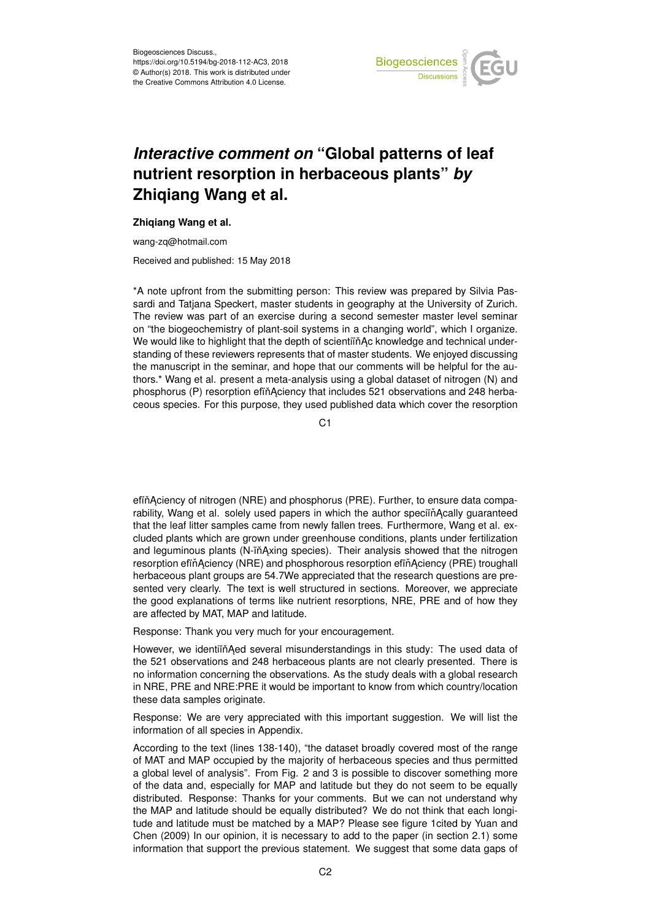

## *Interactive comment on* **"Global patterns of leaf nutrient resorption in herbaceous plants"** *by* **Zhiqiang Wang et al.**

## **Zhiqiang Wang et al.**

wang-zq@hotmail.com

Received and published: 15 May 2018

\*A note upfront from the submitting person: This review was prepared by Silvia Passardi and Tatjana Speckert, master students in geography at the University of Zurich. The review was part of an exercise during a second semester master level seminar on "the biogeochemistry of plant-soil systems in a changing world", which I organize. We would like to highlight that the depth of scientiïn Ac knowledge and technical understanding of these reviewers represents that of master students. We enjoyed discussing the manuscript in the seminar, and hope that our comments will be helpful for the authors.\* Wang et al. present a meta-analysis using a global dataset of nitrogen (N) and phosphorus (P) resorption effin Aciency that includes 521 observations and 248 herbaceous species. For this purpose, they used published data which cover the resorption

C<sub>1</sub>

efin Aciency of nitrogen (NRE) and phosphorus (PRE). Further, to ensure data comparability, Wang et al. solely used papers in which the author specifing ally guaranteed that the leaf litter samples came from newly fallen trees. Furthermore, Wang et al. excluded plants which are grown under greenhouse conditions, plants under fertilization and leguminous plants (N-ïňĄxing species). Their analysis showed that the nitrogen resorption efin Aciency (NRE) and phosphorous resorption efin Aciency (PRE) troughall herbaceous plant groups are 54.7We appreciated that the research questions are presented very clearly. The text is well structured in sections. Moreover, we appreciate the good explanations of terms like nutrient resorptions, NRE, PRE and of how they are affected by MAT, MAP and latitude.

Response: Thank you very much for your encouragement.

However, we identiïň Aed several misunderstandings in this study: The used data of the 521 observations and 248 herbaceous plants are not clearly presented. There is no information concerning the observations. As the study deals with a global research in NRE, PRE and NRE:PRE it would be important to know from which country/location these data samples originate.

Response: We are very appreciated with this important suggestion. We will list the information of all species in Appendix.

According to the text (lines 138-140), "the dataset broadly covered most of the range of MAT and MAP occupied by the majority of herbaceous species and thus permitted a global level of analysis". From Fig. 2 and 3 is possible to discover something more of the data and, especially for MAP and latitude but they do not seem to be equally distributed. Response: Thanks for your comments. But we can not understand why the MAP and latitude should be equally distributed? We do not think that each longitude and latitude must be matched by a MAP? Please see figure 1cited by Yuan and Chen (2009) In our opinion, it is necessary to add to the paper (in section 2.1) some information that support the previous statement. We suggest that some data gaps of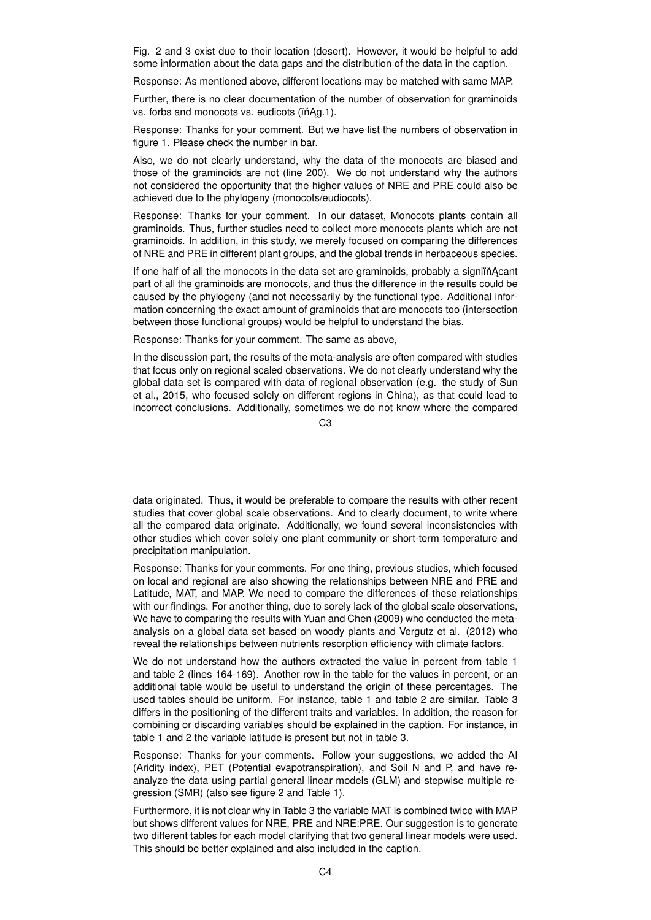Fig. 2 and 3 exist due to their location (desert). However, it would be helpful to add some information about the data gaps and the distribution of the data in the caption.

Response: As mentioned above, different locations may be matched with same MAP.

Further, there is no clear documentation of the number of observation for graminoids vs. forbs and monocots vs. eudicots (ïňAg.1).

Response: Thanks for your comment. But we have list the numbers of observation in figure 1. Please check the number in bar.

Also, we do not clearly understand, why the data of the monocots are biased and those of the graminoids are not (line 200). We do not understand why the authors not considered the opportunity that the higher values of NRE and PRE could also be achieved due to the phylogeny (monocots/eudiocots).

Response: Thanks for your comment. In our dataset, Monocots plants contain all graminoids. Thus, further studies need to collect more monocots plants which are not graminoids. In addition, in this study, we merely focused on comparing the differences of NRE and PRE in different plant groups, and the global trends in herbaceous species.

If one half of all the monocots in the data set are graminoids, probably a signiin Acant part of all the graminoids are monocots, and thus the difference in the results could be caused by the phylogeny (and not necessarily by the functional type. Additional information concerning the exact amount of graminoids that are monocots too (intersection between those functional groups) would be helpful to understand the bias.

Response: Thanks for your comment. The same as above,

In the discussion part, the results of the meta-analysis are often compared with studies that focus only on regional scaled observations. We do not clearly understand why the global data set is compared with data of regional observation (e.g. the study of Sun et al., 2015, who focused solely on different regions in China), as that could lead to incorrect conclusions. Additionally, sometimes we do not know where the compared

 $C<sub>3</sub>$ 

data originated. Thus, it would be preferable to compare the results with other recent studies that cover global scale observations. And to clearly document, to write where all the compared data originate. Additionally, we found several inconsistencies with other studies which cover solely one plant community or short-term temperature and precipitation manipulation.

Response: Thanks for your comments. For one thing, previous studies, which focused on local and regional are also showing the relationships between NRE and PRE and Latitude, MAT, and MAP. We need to compare the differences of these relationships with our findings. For another thing, due to sorely lack of the global scale observations, We have to comparing the results with Yuan and Chen (2009) who conducted the metaanalysis on a global data set based on woody plants and Vergutz et al. (2012) who reveal the relationships between nutrients resorption efficiency with climate factors.

We do not understand how the authors extracted the value in percent from table 1 and table 2 (lines 164-169). Another row in the table for the values in percent, or an additional table would be useful to understand the origin of these percentages. The used tables should be uniform. For instance, table 1 and table 2 are similar. Table 3 differs in the positioning of the different traits and variables. In addition, the reason for combining or discarding variables should be explained in the caption. For instance, in table 1 and 2 the variable latitude is present but not in table 3.

Response: Thanks for your comments. Follow your suggestions, we added the AI (Aridity index), PET (Potential evapotranspiration), and Soil N and P, and have reanalyze the data using partial general linear models (GLM) and stepwise multiple regression (SMR) (also see figure 2 and Table 1).

Furthermore, it is not clear why in Table 3 the variable MAT is combined twice with MAP but shows different values for NRE, PRE and NRE:PRE. Our suggestion is to generate two different tables for each model clarifying that two general linear models were used. This should be better explained and also included in the caption.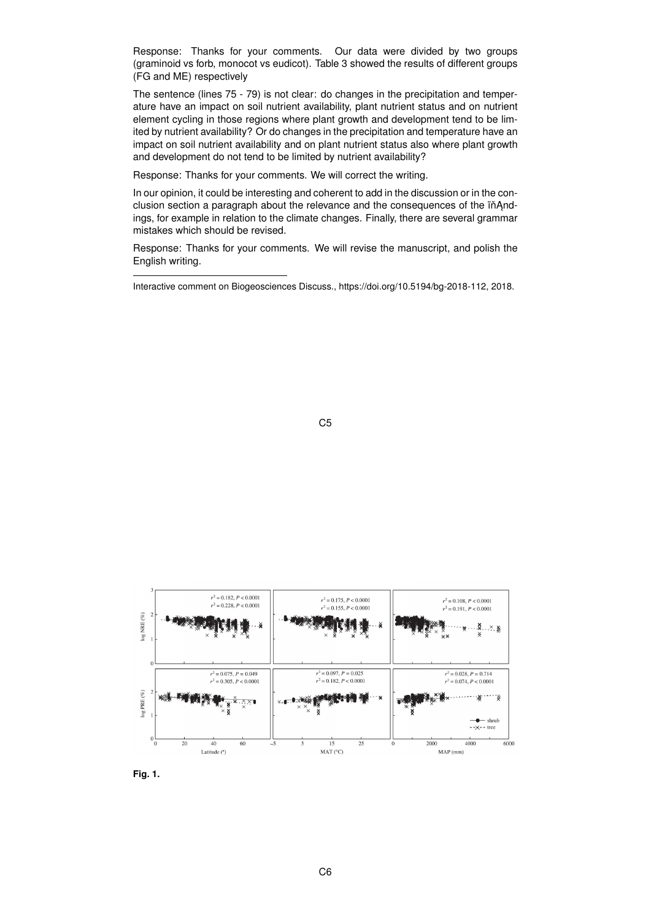Response: Thanks for your comments. Our data were divided by two groups (graminoid vs forb, monocot vs eudicot). Table 3 showed the results of different groups (FG and ME) respectively

The sentence (lines 75 - 79) is not clear: do changes in the precipitation and temperature have an impact on soil nutrient availability, plant nutrient status and on nutrient element cycling in those regions where plant growth and development tend to be limited by nutrient availability? Or do changes in the precipitation and temperature have an impact on soil nutrient availability and on plant nutrient status also where plant growth and development do not tend to be limited by nutrient availability?

Response: Thanks for your comments. We will correct the writing.

In our opinion, it could be interesting and coherent to add in the discussion or in the conclusion section a paragraph about the relevance and the consequences of the inAndings, for example in relation to the climate changes. Finally, there are several grammar mistakes which should be revised.

Response: Thanks for your comments. We will revise the manuscript, and polish the English writing.







Interactive comment on Biogeosciences Discuss., https://doi.org/10.5194/bg-2018-112, 2018.